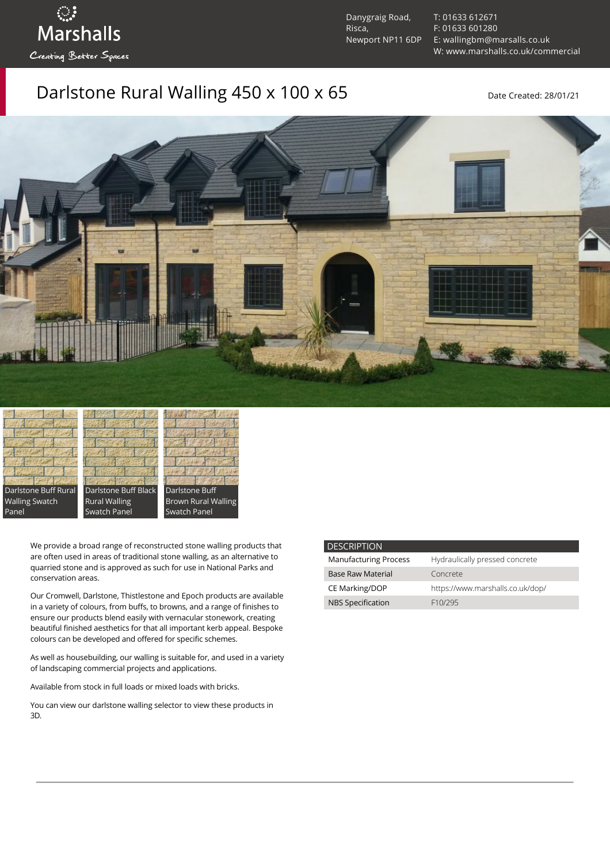Danygraig Road, Risca, Newport NP11 6DP [T: 01633 612671](tel:01633%20612671) [F: 01633 601280](tel:01633%20601280) [E: wallingbm@marsalls.co.uk](mailto:wallingbm@marsalls.co.uk) [W: www.marshalls.co.uk/commercial](https://www.marshalls.co.uk/commercial)

## Darlstone Rural Walling  $450 \times 100 \times 65$  Date Created: 28/01/21



Darlstone Buff Rural Walling Swatch Panel

ः<br>Marshalls

Creating Better Spaces

Darlstone Buff Black Rural Walling Swatch Panel



We provide a broad range of reconstructed stone walling products that are often used in areas of traditional stone walling, as an alternative to quarried stone and is approved as such for use in National Parks and conservation areas.

Our [Cromwell](https://www.marshalls.co.uk/commercial/product/cromwell-stone-walling), Darlstone, [Thistlestone](https://www.marshalls.co.uk/commercial/product/thistlestone-stone-walling) and Epoch products are available in a variety of colours, from buffs, to browns, and a range of finishes to ensure our products blend easily with vernacular stonework, creating beautiful finished aesthetics for that all important kerb appeal. Bespoke colours can be developed and offered for specific schemes.

As well as housebuilding, our walling is suitable for, and used in a variety of landscaping commercial projects and applications.

Available from stock in full loads or mixed loads with bricks.

You can view our [darlstone walling selector](https://www.paverpicker.com/paverpicker/?u=edenhall&cat=walling&subcat=darlstone_walling) to view these products in 3D.

| <b>DESCRIPTION</b>           |                                  |
|------------------------------|----------------------------------|
| <b>Manufacturing Process</b> | Hydraulically pressed concrete   |
| <b>Base Raw Material</b>     | Concrete                         |
| <b>CE Marking/DOP</b>        | https://www.marshalls.co.uk/dop/ |
| <b>NBS Specification</b>     | F <sub>10</sub> /295             |
|                              |                                  |